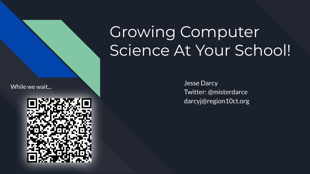While we wait...



# Growing Computer Science At Your School!

Jesse Darcy Twitter: @misterdarce darcyj@region10ct.org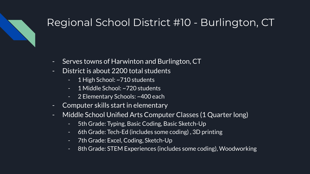## Regional School District #10 - Burlington, CT

- Serves towns of Harwinton and Burlington, CT
- District is about 2200 total students
	- 1 High School: ~710 students
	- 1 Middle School: ~720 students
	- 2 Elementary Schools: ~400 each
- Computer skills start in elementary
- Middle School Unified Arts Computer Classes (1 Quarter long)
	- 5th Grade: Typing, Basic Coding, Basic Sketch-Up
	- 6th Grade: Tech-Ed (includes some coding) , 3D printing
	- 7th Grade: Excel, Coding, Sketch-Up
	- 8th Grade: STEM Experiences (includes some coding), Woodworking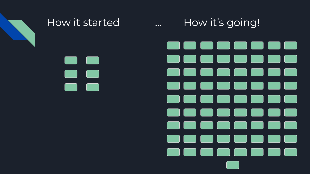

How it started **Example 20** ... How it's going!

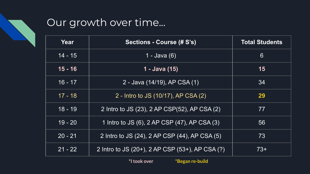## Our growth over time...

| Year      | Sections - Course (# S's)                       | <b>Total Students</b> |
|-----------|-------------------------------------------------|-----------------------|
| $14 - 15$ | 1 - Java (6)                                    | $6\phantom{1}$        |
| $15 - 16$ | $1 -$ Java (15)                                 | 15                    |
| $16 - 17$ | 2 - Java (14/19), AP CSA (1)                    | 34                    |
| $17 - 18$ | 2 - Intro to JS (10/17), AP CSA (2)             | 29                    |
| $18 - 19$ | 2 Intro to JS (23), 2 AP CSP(52), AP CSA (2)    | 77                    |
| $19 - 20$ | 1 Intro to JS (6), 2 AP CSP (47), AP CSA (3)    | 56                    |
| $20 - 21$ | 2 Intro to JS (24), 2 AP CSP (44), AP CSA (5)   | 73                    |
| $21 - 22$ | 2 Intro to JS (20+), 2 AP CSP (53+), AP CSA (?) | $73+$                 |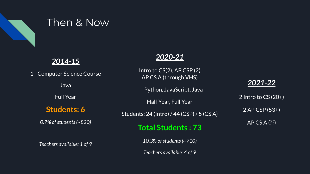

### Then & Now

### *2014-15*

1 - Computer Science Course **Java** Full Year **Students: 6** *0.7% of students (~820) Teachers available: 1 of 9*

### *2020-21*

Intro to CS(2), AP CSP (2) AP CS A (through VHS)

Python, JavaScript, Java

Half Year, Full Year

Students: 24 (Intro) / 44 (CSP) / 5 (CS A)

**Total Students : 73**

*10.3% of students (~710)*

*Teachers available: 4 of 9*

#### *2021-22*

2 Intro to CS (20+) 2 AP CSP (53+) AP CS A (??)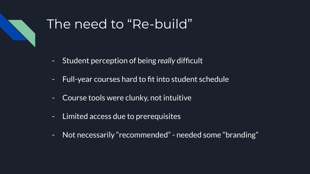

# The need to "Re-build",

- Student perception of being *really* difficult
- Full-year courses hard to fit into student schedule
- Course tools were clunky, not intuitive
- Limited access due to prerequisites
- Not necessarily "recommended" needed some "branding"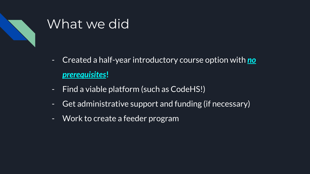

# What we did

- Created a half-year introductory course option with *no prerequisites***!**
- Find a viable platform (such as CodeHS!)
- Get administrative support and funding (if necessary)
- Work to create a feeder program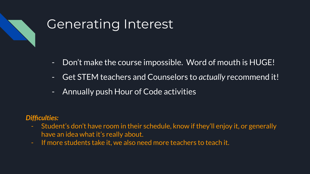

# Generating Interest

- Don't make the course impossible. Word of mouth is HUGE!
- Get STEM teachers and Counselors to *actually* recommend it!
- Annually push Hour of Code activities

#### *Difficulties:*

- Student's don't have room in their schedule, know if they'll enjoy it, or generally have an idea what it's really about.
- If more students take it, we also need more teachers to teach it.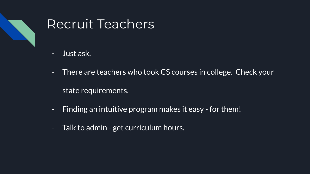

# Recruit Teachers

- Just ask.
- There are teachers who took CS courses in college. Check your state requirements.
- Finding an intuitive program makes it easy for them!
- Talk to admin get curriculum hours.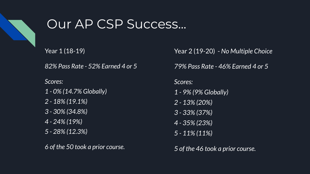

# Our AP CSP Success...

Year 1 (18-19)

*82% Pass Rate - 52% Earned 4 or 5*

*Scores:*

- *1 0% (14.7% Globally)*
- *2 18% (19.1%)*
- *3 30% (34.8%)*
- *4 24% (19%)*
- *5 28% (12.3%)*

*6 of the 50 took a prior course.*

Year 2 (19-20) - *No Multiple Choice*

*79% Pass Rate - 46% Earned 4 or 5*

*Scores: 1 - 9% (9% Globally) 2 - 13% (20%) 3 - 33% (37%) 4 - 35% (23%) 5 - 11% (11%)*

*5 of the 46 took a prior course.*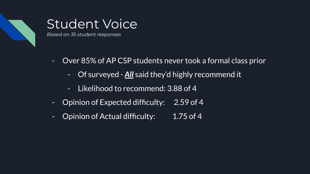

## Student Voice

*Based on 35 student responses*

- Over 85% of AP CSP students never took a formal class prior
	- Of surveyed *All* said they'd highly recommend it
	- Likelihood to recommend: 3.88 of 4
- Opinion of Expected difficulty: 2.59 of 4
- Opinion of Actual difficulty: 1.75 of 4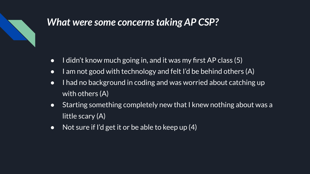

## *What were some concerns taking AP CSP?*

- I didn't know much going in, and it was my first AP class (5)
- I am not good with technology and felt I'd be behind others (A)
- I had no background in coding and was worried about catching up with others (A)
- Starting something completely new that I knew nothing about was a little scary (A)
- Not sure if I'd get it or be able to keep up  $(4)$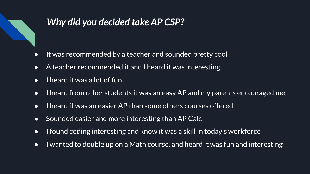

## *Why did you decided take AP CSP?*

- It was recommended by a teacher and sounded pretty cool
- A teacher recommended it and I heard it was interesting
- $\bullet$  I heard it was a lot of fun
- I heard from other students it was an easy AP and my parents encouraged me
- I heard it was an easier AP than some others courses offered
- Sounded easier and more interesting than AP Calc
- I found coding interesting and know it was a skill in today's workforce
- I wanted to double up on a Math course, and heard it was fun and interesting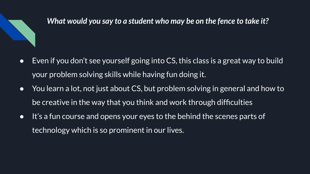

### *What would you say to a student who may be on the fence to take it?*

- Even if you don't see yourself going into CS, this class is a great way to build your problem solving skills while having fun doing it.
- You learn a lot, not just about CS, but problem solving in general and how to be creative in the way that you think and work through difficulties
- It's a fun course and opens your eyes to the behind the scenes parts of technology which is so prominent in our lives.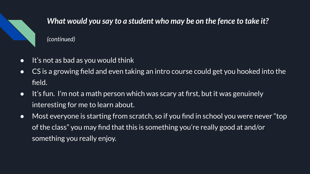

### *What would you say to a student who may be on the fence to take it?*

*(continued)*

- It's not as bad as you would think
- CS is a growing field and even taking an intro course could get you hooked into the field.
- It's fun. I'm not a math person which was scary at first, but it was genuinely interesting for me to learn about.
- Most everyone is starting from scratch, so if you find in school you were never "top of the class" you may find that this is something you're really good at and/or something you really enjoy.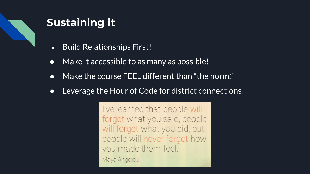

## **Sustaining it**

- Build Relationships First!
- Make it accessible to as many as possible!
- Make the course FEEL different than "the norm."
- Leverage the Hour of Code for district connections!

I've learned that people will forget what you said, people will forget what you did, but people will never forget how you made them feel.

Maya Angelou